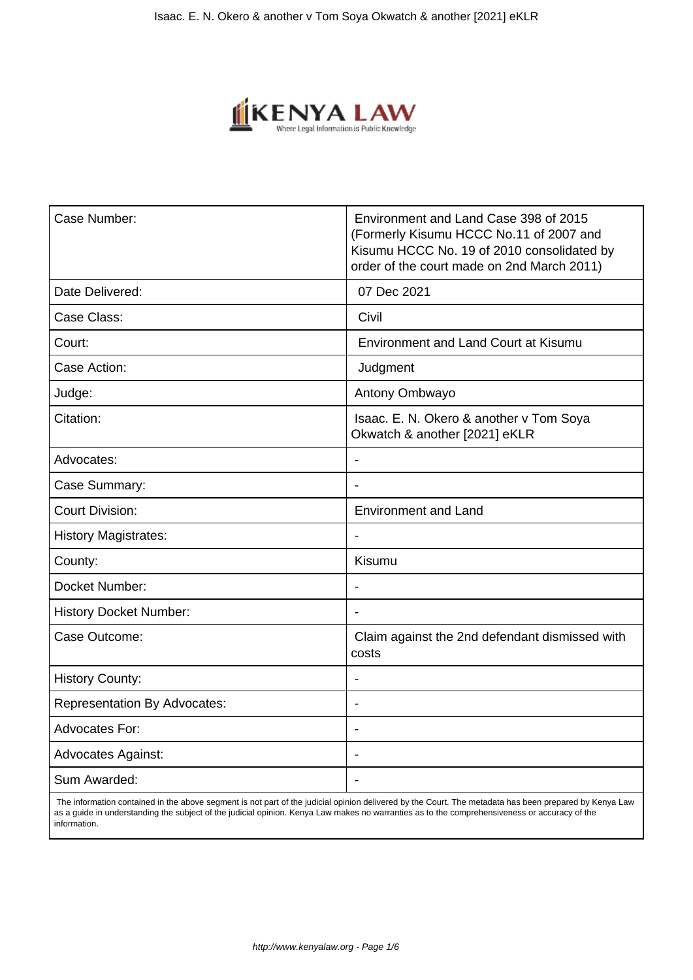

| Case Number:                        | Environment and Land Case 398 of 2015<br>(Formerly Kisumu HCCC No.11 of 2007 and<br>Kisumu HCCC No. 19 of 2010 consolidated by<br>order of the court made on 2nd March 2011) |
|-------------------------------------|------------------------------------------------------------------------------------------------------------------------------------------------------------------------------|
| Date Delivered:                     | 07 Dec 2021                                                                                                                                                                  |
| Case Class:                         | Civil                                                                                                                                                                        |
| Court:                              | <b>Environment and Land Court at Kisumu</b>                                                                                                                                  |
| Case Action:                        | Judgment                                                                                                                                                                     |
| Judge:                              | Antony Ombwayo                                                                                                                                                               |
| Citation:                           | Isaac. E. N. Okero & another v Tom Soya<br>Okwatch & another [2021] eKLR                                                                                                     |
| Advocates:                          | $\overline{\phantom{0}}$                                                                                                                                                     |
| Case Summary:                       |                                                                                                                                                                              |
| <b>Court Division:</b>              | <b>Environment and Land</b>                                                                                                                                                  |
| <b>History Magistrates:</b>         | $\overline{a}$                                                                                                                                                               |
| County:                             | <b>Kisumu</b>                                                                                                                                                                |
| Docket Number:                      | Ĭ.                                                                                                                                                                           |
| <b>History Docket Number:</b>       | Ĭ.                                                                                                                                                                           |
| Case Outcome:                       | Claim against the 2nd defendant dismissed with<br>costs                                                                                                                      |
| <b>History County:</b>              |                                                                                                                                                                              |
| <b>Representation By Advocates:</b> |                                                                                                                                                                              |
| <b>Advocates For:</b>               | $\overline{\phantom{0}}$                                                                                                                                                     |
| <b>Advocates Against:</b>           | $\blacksquare$                                                                                                                                                               |
| Sum Awarded:                        | Ĭ.                                                                                                                                                                           |
|                                     |                                                                                                                                                                              |

 The information contained in the above segment is not part of the judicial opinion delivered by the Court. The metadata has been prepared by Kenya Law as a guide in understanding the subject of the judicial opinion. Kenya Law makes no warranties as to the comprehensiveness or accuracy of the information.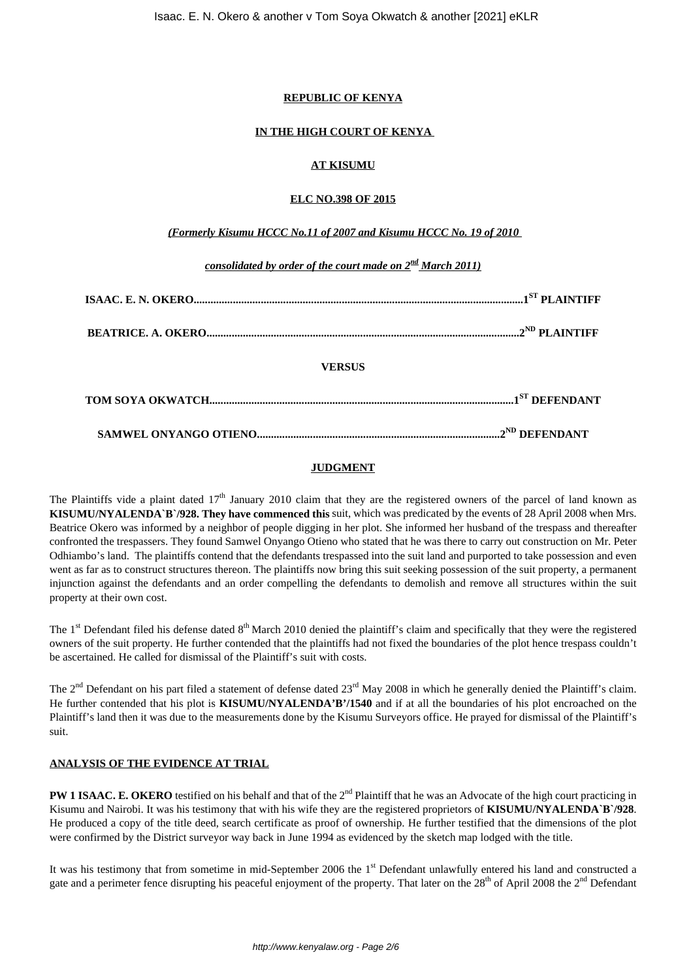## **REPUBLIC OF KENYA**

## **IN THE HIGH COURT OF KENYA**

# **AT KISUMU**

## **ELC NO.398 OF 2015**

## *(Formerly Kisumu HCCC No.11 of 2007 and Kisumu HCCC No. 19 of 2010*

*consolidated by order of the court made on 2nd March 2011)*

| <b>VERSUS</b> |  |
|---------------|--|
|               |  |
|               |  |

# **JUDGMENT**

The Plaintiffs vide a plaint dated  $17<sup>th</sup>$  January 2010 claim that they are the registered owners of the parcel of land known as **KISUMU/NYALENDA`B`/928. They have commenced this** suit, which was predicated by the events of 28 April 2008 when Mrs. Beatrice Okero was informed by a neighbor of people digging in her plot. She informed her husband of the trespass and thereafter confronted the trespassers. They found Samwel Onyango Otieno who stated that he was there to carry out construction on Mr. Peter Odhiambo's land. The plaintiffs contend that the defendants trespassed into the suit land and purported to take possession and even went as far as to construct structures thereon. The plaintiffs now bring this suit seeking possession of the suit property, a permanent injunction against the defendants and an order compelling the defendants to demolish and remove all structures within the suit property at their own cost.

The  $1<sup>st</sup>$  Defendant filed his defense dated  $8<sup>th</sup>$  March 2010 denied the plaintiff's claim and specifically that they were the registered owners of the suit property. He further contended that the plaintiffs had not fixed the boundaries of the plot hence trespass couldn't be ascertained. He called for dismissal of the Plaintiff's suit with costs.

The  $2<sup>nd</sup>$  Defendant on his part filed a statement of defense dated  $23<sup>rd</sup>$  May 2008 in which he generally denied the Plaintiff's claim. He further contended that his plot is **KISUMU/NYALENDA'B'/1540** and if at all the boundaries of his plot encroached on the Plaintiff's land then it was due to the measurements done by the Kisumu Surveyors office. He prayed for dismissal of the Plaintiff's suit.

# **ANALYSIS OF THE EVIDENCE AT TRIAL**

**PW 1 ISAAC. E. OKERO** testified on his behalf and that of the 2<sup>nd</sup> Plaintiff that he was an Advocate of the high court practicing in Kisumu and Nairobi. It was his testimony that with his wife they are the registered proprietors of **KISUMU/NYALENDA`B`/928**. He produced a copy of the title deed, search certificate as proof of ownership. He further testified that the dimensions of the plot were confirmed by the District surveyor way back in June 1994 as evidenced by the sketch map lodged with the title.

It was his testimony that from sometime in mid-September 2006 the  $1<sup>st</sup>$  Defendant unlawfully entered his land and constructed a gate and a perimeter fence disrupting his peaceful enjoyment of the property. That later on the 28<sup>th</sup> of April 2008 the 2<sup>nd</sup> Defendant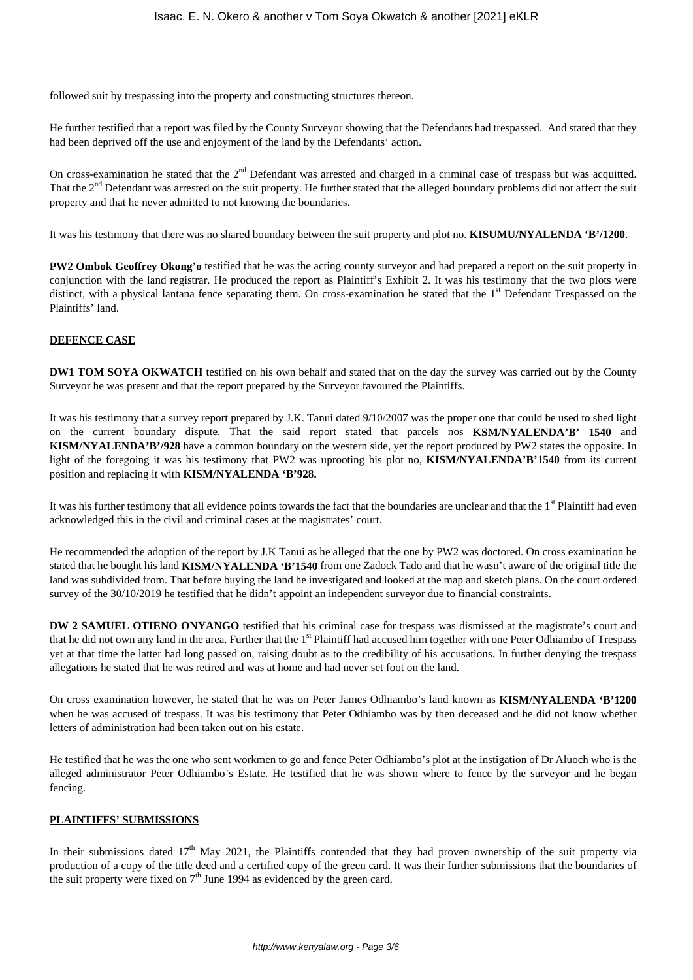followed suit by trespassing into the property and constructing structures thereon.

He further testified that a report was filed by the County Surveyor showing that the Defendants had trespassed. And stated that they had been deprived off the use and enjoyment of the land by the Defendants' action.

On cross-examination he stated that the 2<sup>nd</sup> Defendant was arrested and charged in a criminal case of trespass but was acquitted. That the 2<sup>nd</sup> Defendant was arrested on the suit property. He further stated that the alleged boundary problems did not affect the suit property and that he never admitted to not knowing the boundaries.

It was his testimony that there was no shared boundary between the suit property and plot no. **KISUMU/NYALENDA 'B'/1200**.

**PW2 Ombok Geoffrey Okong'o** testified that he was the acting county surveyor and had prepared a report on the suit property in conjunction with the land registrar. He produced the report as Plaintiff's Exhibit 2. It was his testimony that the two plots were distinct, with a physical lantana fence separating them. On cross-examination he stated that the 1<sup>st</sup> Defendant Trespassed on the Plaintiffs' land.

## **DEFENCE CASE**

**DW1 TOM SOYA OKWATCH** testified on his own behalf and stated that on the day the survey was carried out by the County Surveyor he was present and that the report prepared by the Surveyor favoured the Plaintiffs.

It was his testimony that a survey report prepared by J.K. Tanui dated 9/10/2007 was the proper one that could be used to shed light on the current boundary dispute. That the said report stated that parcels nos **KSM/NYALENDA'B' 1540** and **KISM/NYALENDA'B'/928** have a common boundary on the western side, yet the report produced by PW2 states the opposite. In light of the foregoing it was his testimony that PW2 was uprooting his plot no, **KISM/NYALENDA'B'1540** from its current position and replacing it with **KISM/NYALENDA 'B'928.**

It was his further testimony that all evidence points towards the fact that the boundaries are unclear and that the  $1<sup>st</sup>$  Plaintiff had even acknowledged this in the civil and criminal cases at the magistrates' court.

He recommended the adoption of the report by J.K Tanui as he alleged that the one by PW2 was doctored. On cross examination he stated that he bought his land **KISM/NYALENDA 'B'1540** from one Zadock Tado and that he wasn't aware of the original title the land was subdivided from. That before buying the land he investigated and looked at the map and sketch plans. On the court ordered survey of the 30/10/2019 he testified that he didn't appoint an independent surveyor due to financial constraints.

**DW 2 SAMUEL OTIENO ONYANGO** testified that his criminal case for trespass was dismissed at the magistrate's court and that he did not own any land in the area. Further that the 1<sup>st</sup> Plaintiff had accused him together with one Peter Odhiambo of Trespass yet at that time the latter had long passed on, raising doubt as to the credibility of his accusations. In further denying the trespass allegations he stated that he was retired and was at home and had never set foot on the land.

On cross examination however, he stated that he was on Peter James Odhiambo's land known as **KISM/NYALENDA 'B'1200** when he was accused of trespass. It was his testimony that Peter Odhiambo was by then deceased and he did not know whether letters of administration had been taken out on his estate.

He testified that he was the one who sent workmen to go and fence Peter Odhiambo's plot at the instigation of Dr Aluoch who is the alleged administrator Peter Odhiambo's Estate. He testified that he was shown where to fence by the surveyor and he began fencing.

## **PLAINTIFFS' SUBMISSIONS**

In their submissions dated  $17<sup>th</sup>$  May 2021, the Plaintiffs contended that they had proven ownership of the suit property via production of a copy of the title deed and a certified copy of the green card. It was their further submissions that the boundaries of the suit property were fixed on  $7<sup>th</sup>$  June 1994 as evidenced by the green card.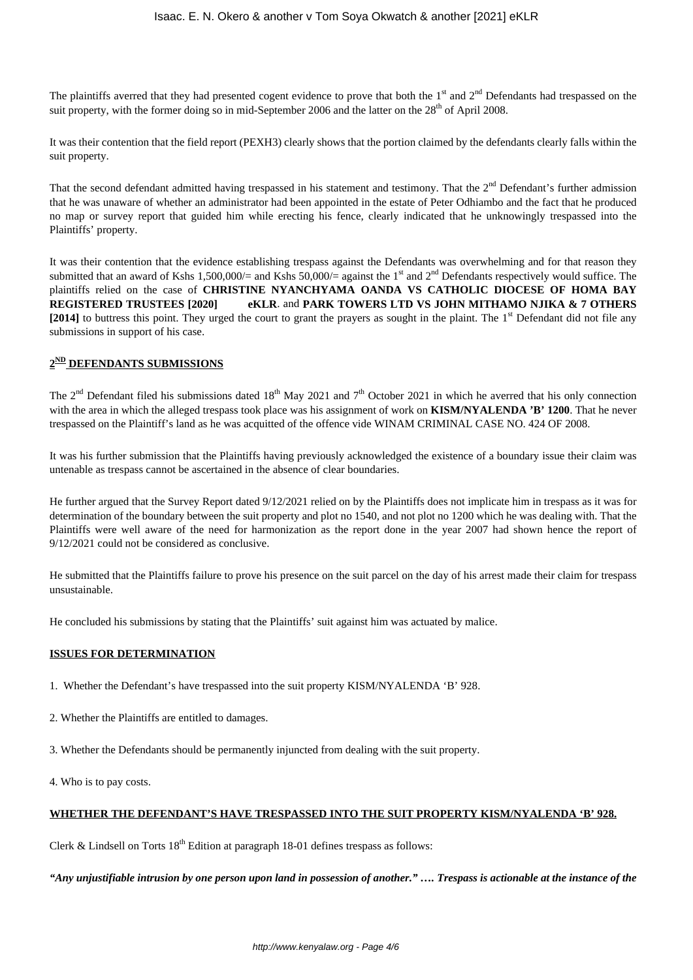The plaintiffs averred that they had presented cogent evidence to prove that both the  $1<sup>st</sup>$  and  $2<sup>nd</sup>$  Defendants had trespassed on the suit property, with the former doing so in mid-September 2006 and the latter on the 28<sup>th</sup> of April 2008.

It was their contention that the field report (PEXH3) clearly shows that the portion claimed by the defendants clearly falls within the suit property.

That the second defendant admitted having trespassed in his statement and testimony. That the  $2<sup>nd</sup>$  Defendant's further admission that he was unaware of whether an administrator had been appointed in the estate of Peter Odhiambo and the fact that he produced no map or survey report that guided him while erecting his fence, clearly indicated that he unknowingly trespassed into the Plaintiffs' property.

It was their contention that the evidence establishing trespass against the Defendants was overwhelming and for that reason they submitted that an award of Kshs 1,500,000/= and Kshs 50,000/= against the 1<sup>st</sup> and 2<sup>nd</sup> Defendants respectively would suffice. The plaintiffs relied on the case of **CHRISTINE NYANCHYAMA OANDA VS CATHOLIC DIOCESE OF HOMA BAY REGISTERED TRUSTEES [2020] eKLR**. and **PARK TOWERS LTD VS JOHN MITHAMO NJIKA & 7 OTHERS** [2014] to buttress this point. They urged the court to grant the prayers as sought in the plaint. The 1<sup>st</sup> Defendant did not file any submissions in support of his case.

## **2 ND DEFENDANTS SUBMISSIONS**

The  $2<sup>nd</sup>$  Defendant filed his submissions dated 18<sup>th</sup> May 2021 and  $7<sup>th</sup>$  October 2021 in which he averred that his only connection with the area in which the alleged trespass took place was his assignment of work on **KISM/NYALENDA 'B' 1200**. That he never trespassed on the Plaintiff's land as he was acquitted of the offence vide WINAM CRIMINAL CASE NO. 424 OF 2008.

It was his further submission that the Plaintiffs having previously acknowledged the existence of a boundary issue their claim was untenable as trespass cannot be ascertained in the absence of clear boundaries.

He further argued that the Survey Report dated 9/12/2021 relied on by the Plaintiffs does not implicate him in trespass as it was for determination of the boundary between the suit property and plot no 1540, and not plot no 1200 which he was dealing with. That the Plaintiffs were well aware of the need for harmonization as the report done in the year 2007 had shown hence the report of 9/12/2021 could not be considered as conclusive.

He submitted that the Plaintiffs failure to prove his presence on the suit parcel on the day of his arrest made their claim for trespass unsustainable.

He concluded his submissions by stating that the Plaintiffs' suit against him was actuated by malice.

## **ISSUES FOR DETERMINATION**

- 1. Whether the Defendant's have trespassed into the suit property KISM/NYALENDA 'B' 928.
- 2. Whether the Plaintiffs are entitled to damages.
- 3. Whether the Defendants should be permanently injuncted from dealing with the suit property.
- 4. Who is to pay costs.

## **WHETHER THE DEFENDANT'S HAVE TRESPASSED INTO THE SUIT PROPERTY KISM/NYALENDA 'B' 928.**

Clerk & Lindsell on Torts  $18<sup>th</sup>$  Edition at paragraph 18-01 defines trespass as follows:

*"Any unjustifiable intrusion by one person upon land in possession of another." …. Trespass is actionable at the instance of the*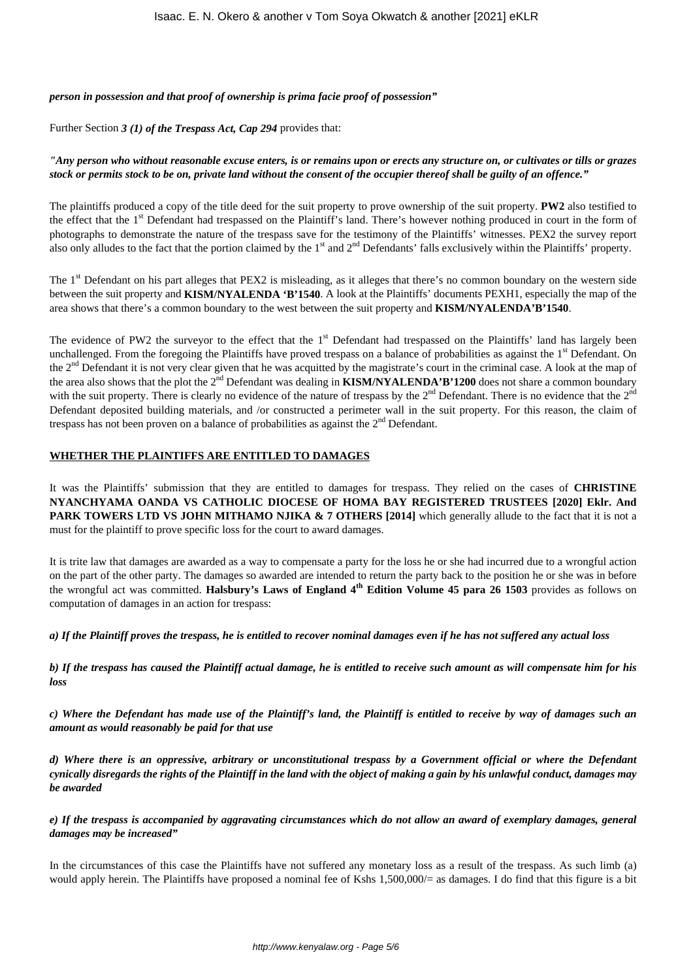*person in possession and that proof of ownership is prima facie proof of possession"*

Further Section *3 (1) of the Trespass Act, Cap 294* provides that:

## *"Any person who without reasonable excuse enters, is or remains upon or erects any structure on, or cultivates or tills or grazes stock or permits stock to be on, private land without the consent of the occupier thereof shall be guilty of an offence."*

The plaintiffs produced a copy of the title deed for the suit property to prove ownership of the suit property. **PW2** also testified to the effect that the 1<sup>st</sup> Defendant had trespassed on the Plaintiff's land. There's however nothing produced in court in the form of photographs to demonstrate the nature of the trespass save for the testimony of the Plaintiffs' witnesses. PEX2 the survey report also only alludes to the fact that the portion claimed by the  $1<sup>st</sup>$  and  $2<sup>nd</sup>$  Defendants' falls exclusively within the Plaintiffs' property.

The 1<sup>st</sup> Defendant on his part alleges that PEX2 is misleading, as it alleges that there's no common boundary on the western side between the suit property and **KISM/NYALENDA 'B'1540**. A look at the Plaintiffs' documents PEXH1, especially the map of the area shows that there's a common boundary to the west between the suit property and **KISM/NYALENDA'B'1540**.

The evidence of PW2 the surveyor to the effect that the  $1<sup>st</sup>$  Defendant had trespassed on the Plaintiffs' land has largely been unchallenged. From the foregoing the Plaintiffs have proved trespass on a balance of probabilities as against the  $1<sup>st</sup>$  Defendant. On the 2<sup>nd</sup> Defendant it is not very clear given that he was acquitted by the magistrate's court in the criminal case. A look at the map of the area also shows that the plot the 2<sup>nd</sup> Defendant was dealing in **KISM/NYALENDA'B'1200** does not share a common boundary with the suit property. There is clearly no evidence of the nature of trespass by the  $2<sup>nd</sup>$  Defendant. There is no evidence that the  $2<sup>nd</sup>$ Defendant deposited building materials, and /or constructed a perimeter wall in the suit property. For this reason, the claim of trespass has not been proven on a balance of probabilities as against the  $2<sup>nd</sup>$  Defendant.

## **WHETHER THE PLAINTIFFS ARE ENTITLED TO DAMAGES**

It was the Plaintiffs' submission that they are entitled to damages for trespass. They relied on the cases of **CHRISTINE NYANCHYAMA OANDA VS CATHOLIC DIOCESE OF HOMA BAY REGISTERED TRUSTEES [2020] Eklr. And PARK TOWERS LTD VS JOHN MITHAMO NJIKA & 7 OTHERS [2014]** which generally allude to the fact that it is not a must for the plaintiff to prove specific loss for the court to award damages.

It is trite law that damages are awarded as a way to compensate a party for the loss he or she had incurred due to a wrongful action on the part of the other party. The damages so awarded are intended to return the party back to the position he or she was in before the wrongful act was committed. Halsbury's Laws of England 4<sup>th</sup> Edition Volume 45 para 26 1503 provides as follows on computation of damages in an action for trespass:

*a) If the Plaintiff proves the trespass, he is entitled to recover nominal damages even if he has not suffered any actual loss*

*b) If the trespass has caused the Plaintiff actual damage, he is entitled to receive such amount as will compensate him for his loss*

*c) Where the Defendant has made use of the Plaintiff's land, the Plaintiff is entitled to receive by way of damages such an amount as would reasonably be paid for that use*

*d) Where there is an oppressive, arbitrary or unconstitutional trespass by a Government official or where the Defendant cynically disregards the rights of the Plaintiff in the land with the object of making a gain by his unlawful conduct, damages may be awarded*

*e) If the trespass is accompanied by aggravating circumstances which do not allow an award of exemplary damages, general damages may be increased"*

In the circumstances of this case the Plaintiffs have not suffered any monetary loss as a result of the trespass. As such limb (a) would apply herein. The Plaintiffs have proposed a nominal fee of Kshs 1,500,000/= as damages. I do find that this figure is a bit